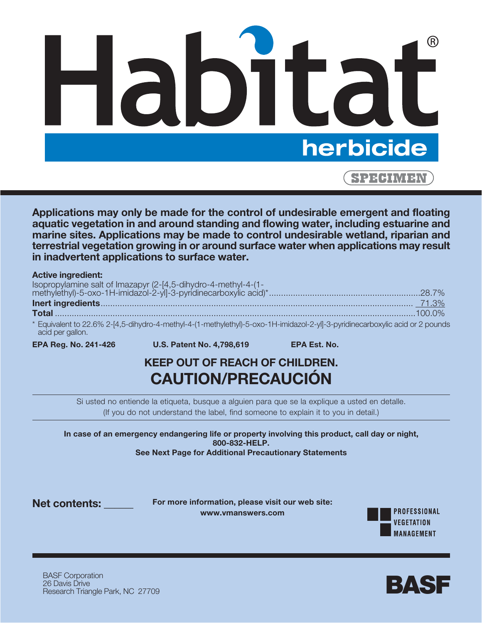

**Applications may only be made for the control of undesirable emergent and floating aquatic vegetation in and around standing and flowing water, including estuarine and marine sites. Applications may be made to control undesirable wetland, riparian and terrestrial vegetation growing in or around surface water when applications may result in inadvertent applications to surface water.**

#### **Active ingredient:**

| * Equivalent to 22.6% 2-14 5-dibydro-4-methyl-4-(1-methylethyl-5-oxo-1H-imidazol-2-vll-3-pyridinecarboxylic acid or 2 pounds |  |
|------------------------------------------------------------------------------------------------------------------------------|--|

b% 2-[4,5-dihydro-4-methyl-4-(1-methylethyl)-5-oxo-1H-imidazol-2-yl]-3-pyridinecarboxylic acid or 2 pounds acid per gallon.

**EPA Reg. No. 241-426 U.S. Patent No. 4,798,619 EPA Est. No.**

# **KEEP OUT OF REACH OF CHILDREN. CAUTION/PRECAUCIÓN**

Si usted no entiende la etiqueta, busque a alguien para que se la explique a usted en detalle. (If you do not understand the label, find someone to explain it to you in detail.)

**In case of an emergency endangering life or property involving this product, call day or night, 800-832-HELP. See Next Page for Additional Precautionary Statements**

**Net contents: \_\_\_\_\_\_\_\_\_\_**

**For more information, please visit our web site: www.vmanswers.com**



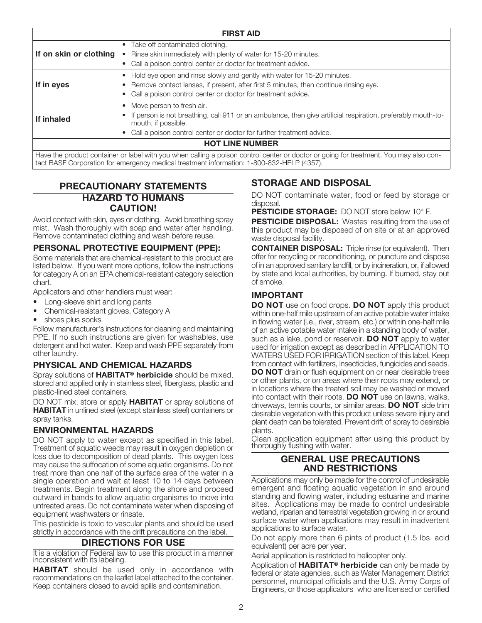| <b>FIRST AID</b>       |                                                                                                                                                                                                                                                    |  |  |
|------------------------|----------------------------------------------------------------------------------------------------------------------------------------------------------------------------------------------------------------------------------------------------|--|--|
| If on skin or clothing | Take off contaminated clothing.<br>$\bullet$<br>Rinse skin immediately with plenty of water for 15-20 minutes.<br>$\bullet$<br>Call a poison control center or doctor for treatment advice.<br>$\bullet$                                           |  |  |
| If in eyes             | Hold eye open and rinse slowly and gently with water for 15-20 minutes.<br>٠<br>Remove contact lenses, if present, after first 5 minutes, then continue rinsing eye.<br>Call a poison control center or doctor for treatment advice.<br>٠          |  |  |
| If inhaled             | Move person to fresh air.<br>٠<br>If person is not breathing, call 911 or an ambulance, then give artificial respiration, preferably mouth-to-<br>mouth, if possible.<br>Call a poison control center or doctor for further treatment advice.<br>٠ |  |  |
|                        | <b>HOT LINE NUMBER</b>                                                                                                                                                                                                                             |  |  |
|                        | Have the product container or label with you when calling a poison control center or doctor or going for treatment. You may also con-                                                                                                              |  |  |

## **PRECAUTIONARY STATEMENTS HAZARD TO HUMANS CAUTION!**

tact BASF Corporation for emergency medical treatment information: 1-800-832-HELP (4357).

Avoid contact with skin, eyes or clothing. Avoid breathing spray mist. Wash thoroughly with soap and water after handling. Remove contaminated clothing and wash before reuse.

## **PERSONAL PROTECTIVE EQUIPMENT (PPE):**

Some materials that are chemical-resistant to this product are listed below. If you want more options, follow the instructions for category A on an EPA chemical-resistant category selection chart.

Applicators and other handlers must wear:

- Long-sleeve shirt and long pants
- Chemical-resistant gloves, Category A
- shoes plus socks

Follow manufacturer's instructions for cleaning and maintaining PPE. If no such instructions are given for washables, use detergent and hot water. Keep and wash PPE separately from other laundry.

## **PHYSICAL AND CHEMICAL HAZARDS**

Spray solutions of **HABITAT® herbicide** should be mixed, stored and applied only in stainless steel, fiberglass, plastic and plastic-lined steel containers.

DO NOT mix, store or apply **HABITAT** or spray solutions of **HABITAT** in unlined steel (except stainless steel) containers or spray tanks.

## **ENVIRONMENTAL HAZARDS**

DO NOT apply to water except as specified in this label. Treatment of aquatic weeds may result in oxygen depletion or loss due to decomposition of dead plants. This oxygen loss may cause the suffocation of some aquatic organisms. Do not treat more than one half of the surface area of the water in a single operation and wait at least 10 to 14 days between treatments. Begin treatment along the shore and proceed outward in bands to allow aquatic organisms to move into untreated areas. Do not contaminate water when disposing of equipment washwaters or rinsate.

This pesticide is toxic to vascular plants and should be used strictly in accordance with the drift precautions on the label.

## **DIRECTIONS FOR USE**

It is a violation of Federal law to use this product in a manner inconsistent with its labeling.

**HABITAT** should be used only in accordance with recommendations on the leaflet label attached to the container. Keep containers closed to avoid spills and contamination.

## **STORAGE AND DISPOSAL**

DO NOT contaminate water, food or feed by storage or disposal.

**PESTICIDE STORAGE:** DO NOT store below 10° F.

**PESTICIDE DISPOSAL:** Wastes resulting from the use of this product may be disposed of on site or at an approved waste disposal facility.

**CONTAINER DISPOSAL:** Triple rinse (or equivalent). Then offer for recycling or reconditioning, or puncture and dispose of in an approved sanitary landfill, or by incineration, or, if allowed by state and local authorities, by burning. If burned, stay out of smoke.

## **IMPORTANT**

**DO NOT** use on food crops. **DO NOT** apply this product within one-half mile upstream of an active potable water intake in flowing water (i.e., river, stream, etc.) or within one-half mile of an active potable water intake in a standing body of water, such as a lake, pond or reservoir. **DO NOT** apply to water used for irrigation except as described in APPLICATION TO WATERS USED FOR IRRIGATION section of this label. Keep from contact with fertilizers, insecticides, fungicides and seeds. **DO NOT** drain or flush equipment on or near desirable trees or other plants, or on areas where their roots may extend, or in locations where the treated soil may be washed or moved into contact with their roots. **DO NOT** use on lawns, walks, driveways, tennis courts, or similar areas. **DO NOT** side trim desirable vegetation with this product unless severe injury and plant death can be tolerated. Prevent drift of spray to desirable plants.

Clean application equipment after using this product by thoroughly flushing with water.

#### **GENERAL USE PRECAUTIONS AND RESTRICTIONS**

Applications may only be made for the control of undesirable emergent and floating aquatic vegetation in and around standing and flowing water, including estuarine and marine sites. Applications may be made to control undesirable wetland, riparian and terrestrial vegetation growing in or around surface water when applications may result in inadvertent applications to surface water.

Do not apply more than 6 pints of product (1.5 lbs. acid equivalent) per acre per year.

Aerial application is restricted to helicopter only.

Application of **HABITAT® herbicide** can only be made by federal or state agencies, such as Water Management District personnel, municipal officials and the U.S. Army Corps of Engineers, or those applicators who are licensed or certified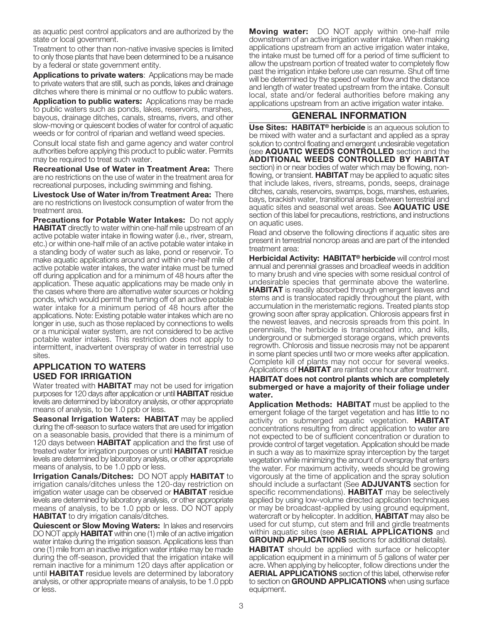as aquatic pest control applicators and are authorized by the state or local government.

Treatment to other than non-native invasive species is limited to only those plants that have been determined to be a nuisance by a federal or state government entity.

**Applications to private waters**: Applications may be made to private waters that are still, such as ponds, lakes and drainage ditches where there is minimal or no outflow to public waters.

**Application to public waters:** Applications may be made to public waters such as ponds, lakes, reservoirs, marshes, bayous, drainage ditches, canals, streams, rivers, and other slow-moving or quiescent bodies of water for control of aquatic weeds or for control of riparian and wetland weed species.

Consult local state fish and game agency and water control authorities before applying this product to public water. Permits may be required to treat such water.

**Recreational Use of Water in Treatment Area:** There are no restrictions on the use of water in the treatment area for recreational purposes, including swimming and fishing.

**Livestock Use of Water in/from Treatment Area:** There are no restrictions on livestock consumption of water from the treatment area.

**Precautions for Potable Water Intakes:** Do not apply **HABITAT** directly to water within one-half mile upstream of an active potable water intake in flowing water (i.e., river, stream, etc.) or within one-half mile of an active potable water intake in a standing body of water such as lake, pond or reservoir. To make aquatic applications around and within one-half mile of active potable water intakes, the water intake must be turned off during application and for a minimum of 48 hours after the application. These aquatic applications may be made only in the cases where there are alternative water sources or holding ponds, which would permit the turning off of an active potable water intake for a minimum period of 48 hours after the applications. Note: Existing potable water intakes which are no longer in use, such as those replaced by connections to wells or a municipal water system, are not considered to be active potable water intakes. This restriction does not apply to intermittent, inadvertent overspray of water in terrestrial use sites.

## **APPLICATION TO WATERS USED FOR IRRIGATION**

Water treated with **HABITAT** may not be used for irrigation purposes for 120 days after application or until **HABITAT** residue levels are determined by laboratory analysis, or other appropriate means of analysis, to be 1.0 ppb or less.

**Seasonal Irrigation Waters: HABITAT** may be applied during the off-season to surface waters that are used for irrigation on a seasonable basis, provided that there is a minimum of 120 days between **HABITAT** application and the first use of treated water for irrigation purposes or until **HABITAT** residue levels are determined by laboratory analysis, or other appropriate means of analysis, to be 1.0 ppb or less.

**Irrigation Canals/Ditches:** DO NOT apply **HABITAT** to irrigation canals/ditches unless the 120-day restriction on irrigation water usage can be observed or **HABITAT** residue levels are determined by laboratory analysis, or other appropriate means of analysis, to be 1.0 ppb or less. DO NOT apply **HABITAT** to dry irrigation canals/ditches.

**Quiescent or Slow Moving Waters:** In lakes and reservoirs DO NOT apply **HABITAT** within one (1) mile of an active irrigation water intake during the irrigation season. Applications less than one (1) mile from an inactive irrigation water intake may be made during the off-season, provided that the irrigation intake will remain inactive for a minimum 120 days after application or until **HABITAT** residue levels are determined by laboratory analysis, or other appropriate means of analysis, to be 1.0 ppb or less.

**Moving water:** DO NOT apply within one-half mile downstream of an active irrigation water intake. When making applications upstream from an active irrigation water intake, the intake must be turned off for a period of time sufficient to allow the upstream portion of treated water to completely flow past the irrigation intake before use can resume. Shut off time will be determined by the speed of water flow and the distance and length of water treated upstream from the intake. Consult local, state and/or federal authorities before making any applications upstream from an active irrigation water intake.

## **GENERAL INFORMATION**

**Use Sites: HABITAT® herbicide** is an aqueous solution to be mixed with water and a surfactant and applied as a spray solution to control floating and emergent undesirable vegetation (see **AQUATIC WEEDS CONTROLLED** section and the **ADDITIONAL WEEDS CONTROLLED BY HABITAT** section) in or near bodies of water which may be flowing, nonflowing, or transient. **HABITAT** may be applied to aquatic sites that include lakes, rivers, streams, ponds, seeps, drainage ditches, canals, reservoirs, swamps, bogs, marshes, estuaries, bays, brackish water, transitional areas between terrestrial and aquatic sites and seasonal wet areas. See **AQUATIC USE** section of this label for precautions, restrictions, and instructions on aquatic uses.

Read and observe the following directions if aquatic sites are present in terrestrial noncrop areas and are part of the intended treatment area:

**Herbicidal Activity: HABITAT® herbicide** will control most annual and perennial grasses and broadleaf weeds in addition to many brush and vine species with some residual control of undesirable species that germinate above the waterline. **HABITAT** is readily absorbed through emergent leaves and stems and is translocated rapidly throughout the plant, with accumulation in the meristematic regions. Treated plants stop growing soon after spray application. Chlorosis appears first in the newest leaves, and necrosis spreads from this point. In perennials, the herbicide is translocated into, and kills, underground or submerged storage organs, which prevents regrowth. Chlorosis and tissue necrosis may not be apparent in some plant species until two or more weeks after application. Complete kill of plants may not occur for several weeks. Applications of **HABITAT** are rainfast one hour after treatment. **HABITAT does not control plants which are completely**

**submerged or have a majority of their foliage under water.**

**Application Methods: HABITAT** must be applied to the emergent foliage of the target vegetation and has little to no activity on submerged aquatic vegetation. **HABITAT** concentrations resulting from direct application to water are not expected to be of sufficient concentration or duration to provide control of target vegetation. Application should be made in such a way as to maximize spray interception by the target vegetation while minimizing the amount of overspray that enters the water. For maximum activity, weeds should be growing vigorously at the time of application and the spray solution should include a surfactant (See **ADJUVANTS** section for specific recommendations). **HABITAT** may be selectively applied by using low-volume directed application techniques or may be broadcast-applied by using ground equipment, watercraft or by helicopter. In addition, **HABITAT** may also be used for cut stump, cut stem and frill and girdle treatments within aquatic sites (see **AERIAL APPLICATIONS** and **GROUND APPLICATIONS** sections for additional details).

**HABITAT** should be applied with surface or helicopter application equipment in a minimum of 5 gallons of water per acre. When applying by helicopter, follow directions under the **AERIAL APPLICATIONS** section of this label, otherwise refer to section on **GROUND APPLICATIONS** when using surface equipment.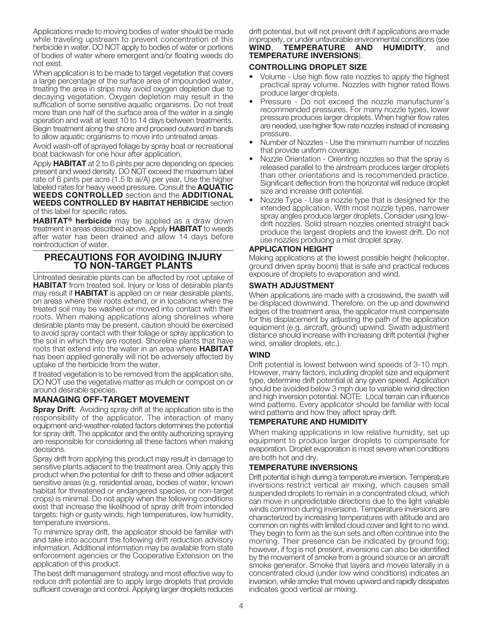Applications made to moving bodies of water should be made while traveling upstream to prevent concentration of this herbicide in water. DO NOT apply to bodies of water or portions of bodies of water where emergent and/or floating weeds do not exist.

When application is to be made to target vegetation that covers a large percentage of the surface area of impounded water, treating the area in strips may avoid oxygen depletion due to decaying vegetation. Oxygen depletion may result in the suffication of some sensitive aquatic organisms. Do not treat more than one half of the surface area of the water in a single operation and wait at least 10 to 14 days between treatments. Begin treatment along the shore and proceed outward in bands to allow aquatic organisms to move into untreated areas.

Avoid wash-off of sprayed foliage by spray boat or recreational boat backwash for one hour after application.

Apply **HABITAT** at 2 to 6 pints per acre depending on species present and weed density. DO NOT exceed the maximum label rate of 6 pints per acre (1.5 lb ai/A) per year. Use the higher labeled rates for heavy weed pressure. Consult the **AQUATIC WEEDS CONTROLLED** section and the **ADDITIONAL WEEDS CONTROLLED BY HABITAT HERBICIDE** section of this label for specific rates.

**HABITAT® herbicide** may be applied as a draw down treatment in areas described above. Apply **HABITAT** to weeds after water has been drained and allow 14 days before reintroduction of water.

## **PRECAUTIONS FOR AVOIDING INJURY TO NON-TARGET PLANTS**

Untreated desirable plants can be affected by root uptake of **HABITAT** from treated soil. Injury or loss of desirable plants may result if **HABITAT** is applied on or near desirable plants, on areas where their roots extend, or in locations where the treated soil may be washed or moved into contact with their roots. When making applications along shorelines where desirable plants may be present, caution should be exercised to avoid spray contact with their foliage or spray application to the soil in which they are rooted. Shoreline plants that have roots that extend into the water in an area where **HABITAT** has been applied generally will not be adversely affected by uptake of the herbicide from the water.

If treated vegetation is to be removed from the application site, DO NOT use the vegetative matter as mulch or compost on or around desirable species.

## **MANAGING OFF-TARGET MOVEMENT**

**Spray Drift:** Avoiding spray drift at the application site is the responsibility of the applicator. The interaction of many equipment-and-weather-related factors determines the potential for spray drift. The applicator and the entity authorizing spraying are responsible for considering all these factors when making decisions.

Spray drift from applying this product may result in damage to sensitive plants adjacent to the treatment area. Only apply this product when the potential for drift to these and other adjacent sensitive areas (e.g. residential areas, bodies of water, known habitat for threatened or endangered species, or non-target crops) is minimal. Do not apply when the following conditions exist that increase the likelihood of spray drift from intended targets: high or gusty winds, high temperatures, low humidity, temperature inversions.

To minimize spray drift, the applicator should be familiar with and take into account the following drift reduction advisory information. Additional information may be available from state enforcement agencies or the Cooperative Extension on the application of this product.

The best drift management strategy and most effective way to reduce drift potential are to apply large droplets that provide sufficient coverage and control. Applying larger droplets reduces drift potential, but will not prevent drift if applications are made improperly, or under unfavorable environmental conditions (see<br> **WIND, TEMPERATURE AND HUMIDITY**, and **TEMPERATURE AND HUMIDITY, and TEMPERATURE INVERSIONS**).

#### **CONTROLLING DROPLET SIZE**

- Volume Use high flow rate nozzles to apply the highest practical spray volume. Nozzles with higher rated flows produce larger droplets.
- Pressure Do not exceed the nozzle manufacturer's recommended pressures. For many nozzle types, lower pressure produces larger droplets. When higher flow rates are needed, use higher flow rate nozzles instead of increasing pressure.
- Number of Nozzles Use the minimum number of nozzles that provide uniform coverage.
- Nozzle Orientation Orienting nozzles so that the spray is released parallel to the airstream produces larger droplets than other orientations and is recommended practice. Significant deflection from the horizontal will reduce droplet size and increase drift potential.
- Nozzle Type Use a nozzle type that is designed for the intended application. With most nozzle types, narrower spray angles produce larger droplets. Consider using lowdrift nozzles. Solid stream nozzles oriented straight back produce the largest droplets and the lowest drift. Do not use nozzles producing a mist droplet spray.

### **APPLICATION HEIGHT**

Making applications at the lowest possible height (helicopter, ground driven spray boom) that is safe and practical reduces exposure of droplets to evaporation and wind.

### **SWATH ADJUSTMENT**

When applications are made with a crosswind, the swath will be displaced downwind. Therefore, on the up and downwind edges of the treatment area, the applicator must compensate for this displacement by adjusting the path of the application equipment (e.g. aircraft, ground) upwind. Swath adjustment distance should increase with increasing drift potential (higher wind, smaller droplets, etc.).

#### **WIND**

Drift potential is lowest between wind speeds of 3-10 mph. However, many factors, including droplet size and equipment type, determine drift potential at any given speed. Application should be avoided below 3 mph due to variable wind direction and high inversion potential. NOTE: Local terrain can influence wind patterns. Every applicator should be familiar with local wind patterns and how they affect spray drift.

## **TEMPERATURE AND HUMIDITY**

When making applications in low relative humidity, set up equipment to produce larger droplets to compensate for evaporation. Droplet evaporation is most severe when conditions are both hot and dry.

## **TEMPERATURE INVERSIONS**

Drift potential is high during a temperature inversion. Temperature inversions restrict vertical air mixing, which causes small suspended droplets to remain in a concentrated cloud, which can move in unpredictable directions due to the light variable winds common during inversions. Temperature inversions are characterized by increasing temperatures with altitude and are common on nights with limited cloud cover and light to no wind. They begin to form as the sun sets and often continue into the morning. Their presence can be indicated by ground fog; however, if fog is not present, inversions can also be identified by the movement of smoke from a ground source or an aircraft smoke generator. Smoke that layers and moves laterally in a concentrated cloud (under low wind conditions) indicates an inversion, while smoke that moves upward and rapidly dissipates indicates good vertical air mixing.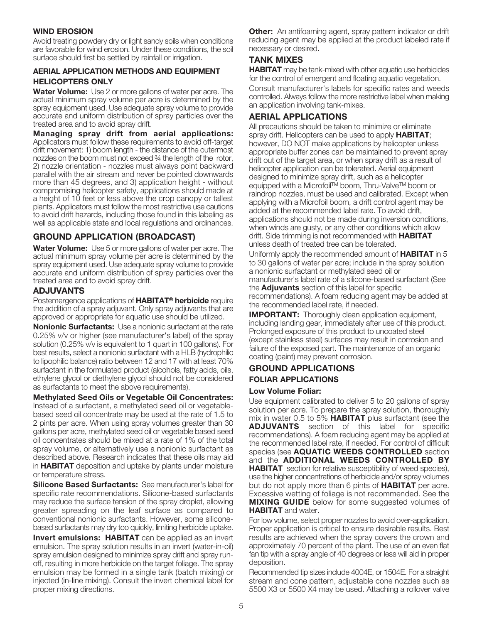#### **WIND EROSION**

Avoid treating powdery dry or light sandy soils when conditions are favorable for wind erosion. Under these conditions, the soil surface should first be settled by rainfall or irrigation.

### **AERIAL APPLICATION METHODS AND EQUIPMENT HELICOPTERS ONLY**

**Water Volume:** Use 2 or more gallons of water per acre. The actual minimum spray volume per acre is determined by the spray equipment used. Use adequate spray volume to provide accurate and uniform distribution of spray particles over the treated area and to avoid spray drift.

**Managing spray drift from aerial applications:** Applicators must follow these requirements to avoid off-target drift movement: 1) boom length - the distance of the outermost nozzles on the boom must not exceed ¾ the length of the rotor, 2) nozzle orientation - nozzles must always point backward parallel with the air stream and never be pointed downwards more than 45 degrees, and 3) application height - without compromising helicopter safety, applications should made at a height of 10 feet or less above the crop canopy or tallest plants. Applicators must follow the most restrictive use cautions to avoid drift hazards, including those found in this labeling as well as applicable state and local regulations and ordinances.

## **GROUND APPLICATION (BROADCAST)**

**Water Volume:** Use 5 or more gallons of water per acre. The actual minimum spray volume per acre is determined by the spray equipment used. Use adequate spray volume to provide accurate and uniform distribution of spray particles over the treated area and to avoid spray drift.

### **ADJUVANTS**

Postemergence applications of **HABITAT® herbicide** require the addition of a spray adjuvant. Only spray adjuvants that are approved or appropriate for aquatic use should be utilized.

**Nonionic Surfactants:** Use a nonionic surfactant at the rate 0.25% v/v or higher (see manufacturer's label) of the spray solution (0.25% v/v is equivalent to 1 quart in 100 gallons). For best results, select a nonionic surfactant with a HLB (hydrophilic to lipophilic balance) ratio between 12 and 17 with at least 70% surfactant in the formulated product (alcohols, fatty acids, oils, ethylene glycol or diethylene glycol should not be considered as surfactants to meet the above requirements).

**Methylated Seed Oils or Vegetable Oil Concentrates:** Instead of a surfactant, a methylated seed oil or vegetablebased seed oil concentrate may be used at the rate of 1.5 to 2 pints per acre. When using spray volumes greater than 30 gallons per acre, methylated seed oil or vegetable based seed oil concentrates should be mixed at a rate of 1% of the total spray volume, or alternatively use a nonionic surfactant as described above. Research indicates that these oils may aid in **HABITAT** deposition and uptake by plants under moisture or temperature stress.

**Silicone Based Surfactants:** See manufacturer's label for specific rate recommendations. Silicone-based surfactants may reduce the surface tension of the spray droplet, allowing greater spreading on the leaf surface as compared to conventional nonionic surfactants. However, some siliconebased surfactants may dry too quickly, limiting herbicide uptake.

**Invert emulsions: HABITAT** can be applied as an invert emulsion. The spray solution results in an invert (water-in-oil) spray emulsion designed to minimize spray drift and spray runoff, resulting in more herbicide on the target foliage. The spray emulsion may be formed in a single tank (batch mixing) or injected (in-line mixing). Consult the invert chemical label for proper mixing directions.

**Other:** An antifoaming agent, spray pattern indicator or drift reducing agent may be applied at the product labeled rate if necessary or desired.

## **TANK MIXES**

**HABITAT** may be tank-mixed with other aquatic use herbicides for the control of emergent and floating aquatic vegetation. Consult manufacturer's labels for specific rates and weeds controlled. Always follow the more restrictive label when making an application involving tank-mixes.

## **AERIAL APPLICATIONS**

All precautions should be taken to minimize or eliminate spray drift. Helicopters can be used to apply **HABITAT**; however, DO NOT make applications by helicopter unless appropriate buffer zones can be maintained to prevent spray drift out of the target area, or when spray drift as a result of helicopter application can be tolerated. Aerial equipment designed to minimize spray drift, such as a helicopter equipped with a Microfoil™ boom, Thru-Valve™ boom or raindrop nozzles, must be used and calibrated. Except when applying with a Microfoil boom, a drift control agent may be added at the recommended label rate. To avoid drift, applications should not be made during inversion conditions, when winds are gusty, or any other conditions which allow drift. Side trimming is not recommended with **HABITAT** unless death of treated tree can be tolerated.

Uniformly apply the recommended amount of **HABITAT** in 5 to 30 gallons of water per acre; include in the spray solution a nonionic surfactant or methylated seed oil or manufacturer's label rate of a silicone-based surfactant (See the **Adjuvants** section of this label for specific recommendations). A foam reducing agent may be added at the recommended label rate, if needed.

**IMPORTANT:** Thoroughly clean application equipment, including landing gear, immediately after use of this product. Prolonged exposure of this product to uncoated steel (except stainless steel) surfaces may result in corrosion and failure of the exposed part. The maintenance of an organic coating (paint) may prevent corrosion.

### **GROUND APPLICATIONS FOLIAR APPLICATIONS**

#### **Low Volume Foliar:**

Use equipment calibrated to deliver 5 to 20 gallons of spray solution per acre. To prepare the spray solution, thoroughly mix in water 0.5 to 5% **HABITAT** plus surfactant (see the **ADJUVANTS** section of this label for specific recommendations). A foam reducing agent may be applied at the recommended label rate, if needed. For control of difficult species (see **AQUATIC WEEDS CONTROLLED** section and the **ADDITIONAL WEEDS CONTROLLED BY HABITAT** section for relative susceptibility of weed species), use the higher concentrations of herbicide and/or spray volumes but do not apply more than 6 pints of **HABITAT** per acre. Excessive wetting of foliage is not recommended. See the **MIXING GUIDE** below for some suggested volumes of **HABITAT** and water.

For low volume, select proper nozzles to avoid over-application. Proper application is critical to ensure desirable results. Best results are achieved when the spray covers the crown and approximately 70 percent of the plant. The use of an even flat fan tip with a spray angle of 40 degrees or less will aid in proper deposition.

Recommended tip sizes include 4004E, or 1504E. For a straight stream and cone pattern, adjustable cone nozzles such as 5500 X3 or 5500 X4 may be used. Attaching a rollover valve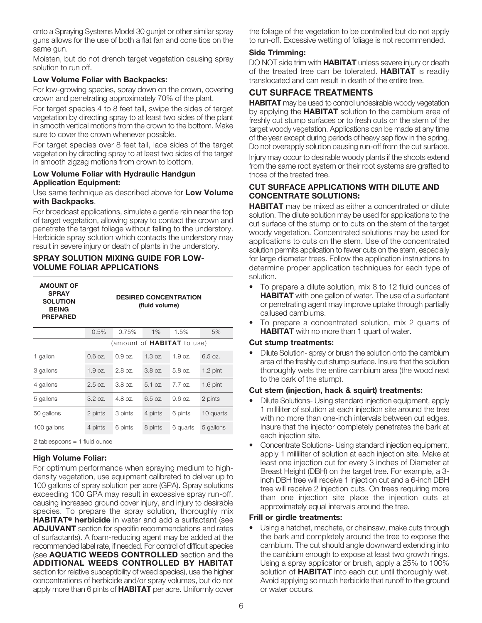onto a Spraying Systems Model 30 gunjet or other similar spray guns allows for the use of both a flat fan and cone tips on the same gun.

Moisten, but do not drench target vegetation causing spray solution to run off.

#### **Low Volume Foliar with Backpacks:**

For low-growing species, spray down on the crown, covering crown and penetrating approximately 70% of the plant.

For target species 4 to 8 feet tall, swipe the sides of target vegetation by directing spray to at least two sides of the plant in smooth vertical motions from the crown to the bottom. Make sure to cover the crown whenever possible.

For target species over 8 feet tall, lace sides of the target vegetation by directing spray to at least two sides of the target in smooth zigzag motions from crown to bottom.

#### **Low Volume Foliar with Hydraulic Handgun Application Equipment:**

Use same technique as described above for **Low Volume with Backpacks**.

For broadcast applications, simulate a gentle rain near the top of target vegetation, allowing spray to contact the crown and penetrate the target foliage without falling to the understory. Herbicide spray solution which contacts the understory may result in severe injury or death of plants in the understory.

#### **SPRAY SOLUTION MIXING GUIDE FOR LOW-VOLUME FOLIAR APPLICATIONS**

| <b>AMOUNT OF</b><br><b>SPRAY</b><br><b>SOLUTION</b><br><b>BEING</b><br><b>PREPARED</b> |      |       | (fluid volume) | <b>DESIRED CONCENTRATION</b> |    |
|----------------------------------------------------------------------------------------|------|-------|----------------|------------------------------|----|
|                                                                                        | 0.5% | 0.75% | $1\%$          | 1.5%                         | 5% |

| (amount of <b>HABITAT</b> to use) |                   |         |         |          |            |
|-----------------------------------|-------------------|---------|---------|----------|------------|
| 1 gallon                          | $0.6 \text{ oz.}$ | 0.9 oz. | 1.3 oz. | 1.9 oz.  | 6.5 oz.    |
| 3 gallons                         | 1.9 oz.           | 2.8 oz. | 3.8 oz. | 5.8 oz.  | $1.2$ pint |
| 4 gallons                         | $2.5$ oz.         | 3.8 oz. | 5.1 oz. | 7.7 oz.  | $1.6$ pint |
| 5 gallons                         | $3.2 \text{ oz.}$ | 4.8 oz. | 6.5 oz. | 9.6 oz.  | 2 pints    |
| 50 gallons                        | 2 pints           | 3 pints | 4 pints | 6 pints  | 10 quarts  |
| 100 gallons                       | 4 pints           | 6 pints | 8 pints | 6 quarts | 5 gallons  |
| 2 tablespoons $= 1$ fluid ounce   |                   |         |         |          |            |

#### **High Volume Foliar:**

For optimum performance when spraying medium to highdensity vegetation, use equipment calibrated to deliver up to 100 gallons of spray solution per acre (GPA). Spray solutions exceeding 100 GPA may result in excessive spray run-off, causing increased ground cover injury, and injury to desirable species. To prepare the spray solution, thoroughly mix **HABITAT® herbicide** in water and add a surfactant (see **ADJUVANT** section for specific recommendations and rates of surfactants). A foam-reducing agent may be added at the recommended label rate, if needed. For control of difficult species (see **AQUATIC WEEDS CONTROLLED** section and the **ADDITIONAL WEEDS CONTROLLED BY HABITAT** section for relative susceptibility of weed species), use the higher concentrations of herbicide and/or spray volumes, but do not apply more than 6 pints of **HABITAT** per acre. Uniformly cover

the foliage of the vegetation to be controlled but do not apply to run-off. Excessive wetting of foliage is not recommended.

#### **Side Trimming:**

DO NOT side trim with **HABITAT** unless severe injury or death of the treated tree can be tolerated. **HABITAT** is readily translocated and can result in death of the entire tree.

## **CUT SURFACE TREATMENTS**

**HABITAT** may be used to control undesirable woody vegetation by applying the **HABITAT** solution to the cambium area of freshly cut stump surfaces or to fresh cuts on the stem of the target woody vegetation. Applications can be made at any time of the year except during periods of heavy sap flow in the spring. Do not overapply solution causing run-off from the cut surface. Injury may occur to desirable woody plants if the shoots extend from the same root system or their root systems are grafted to those of the treated tree.

#### **CUT SURFACE APPLICATIONS WITH DILUTE AND CONCENTRATE SOLUTIONS:**

**HABITAT** may be mixed as either a concentrated or dilute solution. The dilute solution may be used for applications to the cut surface of the stump or to cuts on the stem of the target woody vegetation. Concentrated solutions may be used for applications to cuts on the stem. Use of the concentrated solution permits application to fewer cuts on the stem, especially for large diameter trees. Follow the application instructions to determine proper application techniques for each type of solution.

- To prepare a dilute solution, mix 8 to 12 fluid ounces of **HABITAT** with one gallon of water. The use of a surfactant or penetrating agent may improve uptake through partially callused cambiums.
- To prepare a concentrated solution, mix 2 quarts of **HABITAT** with no more than 1 quart of water.

#### **Cut stump treatments:**

• Dilute Solution- spray or brush the solution onto the cambium area of the freshly cut stump surface. Insure that the solution thoroughly wets the entire cambium area (the wood next to the bark of the stump).

#### **Cut stem (injection, hack & squirt) treatments:**

- Dilute Solutions- Using standard injection equipment, apply 1 milliliter of solution at each injection site around the tree with no more than one-inch intervals between cut edges. Insure that the injector completely penetrates the bark at each injection site.
- Concentrate Solutions- Using standard injection equipment, apply 1 milliliter of solution at each injection site. Make at least one injection cut for every 3 inches of Diameter at Breast Height (DBH) on the target tree. For example, a 3 inch DBH tree will receive 1 injection cut and a 6-inch DBH tree will receive 2 injection cuts. On trees requiring more than one injection site place the injection cuts at approximately equal intervals around the tree.

#### **Frill or girdle treatments:**

• Using a hatchet, machete, or chainsaw, make cuts through the bark and completely around the tree to expose the cambium. The cut should angle downward extending into the cambium enough to expose at least two growth rings. Using a spray applicator or brush, apply a 25% to 100% solution of **HABITAT** into each cut until thoroughly wet. Avoid applying so much herbicide that runoff to the ground or water occurs.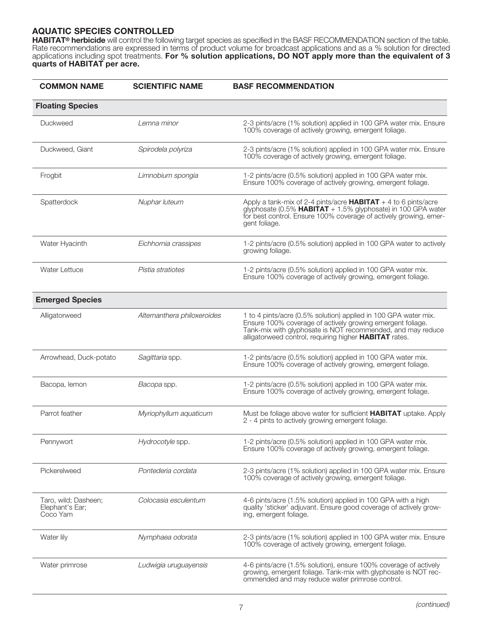## **AQUATIC SPECIES CONTROLLED**

**HABITAT® herbicide** will control the following target species as specified in the BASF RECOMMENDATION section of the table. Rate recommendations are expressed in terms of product volume for broadcast applications and as a % solution for directed applications including spot treatments. **For % solution applications, DO NOT apply more than the equivalent of 3 quarts of HABITAT per acre.**

| <b>COMMON NAME</b>                                  | <b>SCIENTIFIC NAME</b>      | <b>BASF RECOMMENDATION</b>                                                                                                                                                                                                                                    |
|-----------------------------------------------------|-----------------------------|---------------------------------------------------------------------------------------------------------------------------------------------------------------------------------------------------------------------------------------------------------------|
| <b>Floating Species</b>                             |                             |                                                                                                                                                                                                                                                               |
| Duckweed                                            | Lemna minor                 | 2-3 pints/acre (1% solution) applied in 100 GPA water mix. Ensure<br>100% coverage of actively growing, emergent foliage.                                                                                                                                     |
| Duckweed, Giant                                     | Spirodela polyriza          | 2-3 pints/acre (1% solution) applied in 100 GPA water mix. Ensure<br>100% coverage of actively growing, emergent foliage.                                                                                                                                     |
| Frogbit                                             | Limnobium spongia           | 1-2 pints/acre (0.5% solution) applied in 100 GPA water mix.<br>Ensure 100% coverage of actively growing, emergent foliage.                                                                                                                                   |
| Spatterdock                                         | Nuphar luteum               | Apply a tank-mix of 2-4 pints/acre $HABITAT + 4$ to 6 pints/acre<br>glyphosate (0.5% <b>HABITAT</b> + 1.5% glyphosate) in 100 GPA water<br>for best control. Ensure 100% coverage of actively growing, emer-<br>gent foliage.                                 |
| Water Hyacinth                                      | Eichhornia crassipes        | 1-2 pints/acre (0.5% solution) applied in 100 GPA water to actively<br>growing foliage.                                                                                                                                                                       |
| Water Lettuce                                       | Pistia stratiotes           | 1-2 pints/acre (0.5% solution) applied in 100 GPA water mix.<br>Ensure 100% coverage of actively growing, emergent foliage.                                                                                                                                   |
| <b>Emerged Species</b>                              |                             |                                                                                                                                                                                                                                                               |
| Alligatorweed                                       | Alternanthera philoxeroides | 1 to 4 pints/acre (0.5% solution) applied in 100 GPA water mix.<br>Ensure 100% coverage of actively growing emergent foliage.<br>Tank-mix with glyphosate is NOT recommended, and may reduce<br>alligatorweed control, requiring higher <b>HABITAT</b> rates. |
| Arrowhead, Duck-potato                              | Sagittaria spp.             | 1-2 pints/acre (0.5% solution) applied in 100 GPA water mix.<br>Ensure 100% coverage of actively growing, emergent foliage.                                                                                                                                   |
| Bacopa, lemon                                       | Bacopa spp.                 | 1-2 pints/acre (0.5% solution) applied in 100 GPA water mix.<br>Ensure 100% coverage of actively growing, emergent foliage.                                                                                                                                   |
| Parrot feather                                      | Myriophyllum aquaticum      | Must be foliage above water for sufficient <b>HABITAT</b> uptake. Apply<br>2 - 4 pints to actively growing emergent foliage.                                                                                                                                  |
| Pennywort                                           | Hydrocotyle spp.            | 1-2 pints/acre (0.5% solution) applied in 100 GPA water mix.<br>Ensure 100% coverage of actively growing, emergent foliage.                                                                                                                                   |
| Pickerelweed                                        | Pontederia cordata          | 2-3 pints/acre (1% solution) applied in 100 GPA water mix. Ensure<br>100% coverage of actively growing, emergent foliage.                                                                                                                                     |
| Taro, wild; Dasheen;<br>Elephant's Ear;<br>Coco Yam | Colocasia esculentum        | 4-6 pints/acre (1.5% solution) applied in 100 GPA with a high<br>quality 'sticker' adjuvant. Ensure good coverage of actively grow-<br>ing, emergent foliage.                                                                                                 |
| Water lily                                          | Nymphaea odorata            | 2-3 pints/acre (1% solution) applied in 100 GPA water mix. Ensure<br>100% coverage of actively growing, emergent foliage.                                                                                                                                     |
| Water primrose                                      | Ludwigia uruguayensis       | 4-6 pints/acre (1.5% solution), ensure 100% coverage of actively<br>growing, emergent foliage. Tank-mix with glyphosate is NOT rec-<br>ommended and may reduce water primrose control.                                                                        |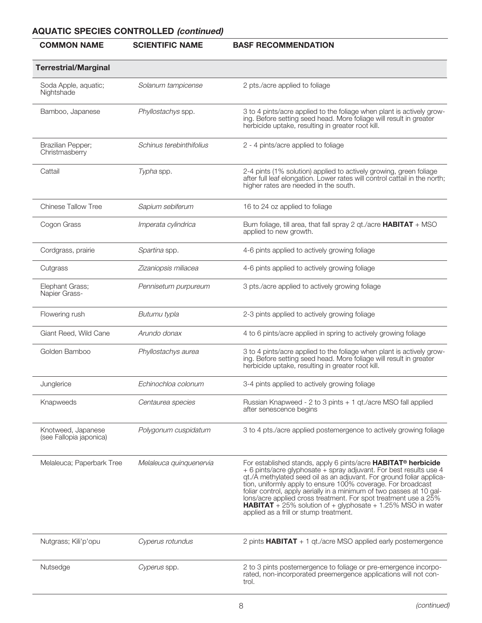# **AQUATIC SPECIES CONTROLLED (continued)**

## **COMMON NAME SCIENTIFIC NAME BASF RECOMMENDATION**

| <b>Terrestrial/Marginal</b>                   |                          |                                                                                                                                                                                                                                                                                                                                                                                                                                                                                                                                        |
|-----------------------------------------------|--------------------------|----------------------------------------------------------------------------------------------------------------------------------------------------------------------------------------------------------------------------------------------------------------------------------------------------------------------------------------------------------------------------------------------------------------------------------------------------------------------------------------------------------------------------------------|
| Soda Apple, aquatic;<br>Nightshade            | Solanum tampicense       | 2 pts./acre applied to foliage                                                                                                                                                                                                                                                                                                                                                                                                                                                                                                         |
| Bamboo, Japanese                              | Phyllostachys spp.       | 3 to 4 pints/acre applied to the foliage when plant is actively grow-<br>ing. Before setting seed head. More foliage will result in greater<br>herbicide uptake, resulting in greater root kill.                                                                                                                                                                                                                                                                                                                                       |
| Brazilian Pepper;<br>Christmasberry           | Schinus terebinthifolius | 2 - 4 pints/acre applied to foliage                                                                                                                                                                                                                                                                                                                                                                                                                                                                                                    |
| Cattail                                       | Typha spp.               | 2-4 pints (1% solution) applied to actively growing, green foliage<br>after full leaf elongation. Lower rates will control cattail in the north;<br>higher rates are needed in the south.                                                                                                                                                                                                                                                                                                                                              |
| <b>Chinese Tallow Tree</b>                    | Sapium sebiferum         | 16 to 24 oz applied to foliage                                                                                                                                                                                                                                                                                                                                                                                                                                                                                                         |
| Cogon Grass                                   | Imperata cylindrica      | Burn foliage, till area, that fall spray 2 qt./acre HABITAT + MSO<br>applied to new growth.                                                                                                                                                                                                                                                                                                                                                                                                                                            |
| Cordgrass, prairie                            | Spartina spp.            | 4-6 pints applied to actively growing foliage                                                                                                                                                                                                                                                                                                                                                                                                                                                                                          |
| Cutgrass                                      | Zizaniopsis miliacea     | 4-6 pints applied to actively growing foliage                                                                                                                                                                                                                                                                                                                                                                                                                                                                                          |
| Elephant Grass;<br>Napier Grass-              | Pennisetum purpureum     | 3 pts./acre applied to actively growing foliage                                                                                                                                                                                                                                                                                                                                                                                                                                                                                        |
| Flowering rush                                | Butumu typla             | 2-3 pints applied to actively growing foliage                                                                                                                                                                                                                                                                                                                                                                                                                                                                                          |
| Giant Reed, Wild Cane                         | Arundo donax             | 4 to 6 pints/acre applied in spring to actively growing foliage                                                                                                                                                                                                                                                                                                                                                                                                                                                                        |
| Golden Bamboo                                 | Phyllostachys aurea      | 3 to 4 pints/acre applied to the foliage when plant is actively grow-<br>ing. Before setting seed head. More foliage will result in greater<br>herbicide uptake, resulting in greater root kill.                                                                                                                                                                                                                                                                                                                                       |
| Junglerice                                    | Echinochloa colonum      | 3-4 pints applied to actively growing foliage                                                                                                                                                                                                                                                                                                                                                                                                                                                                                          |
| Knapweeds                                     | Centaurea species        | Russian Knapweed - 2 to 3 pints + 1 qt./acre MSO fall applied<br>after senescence begins                                                                                                                                                                                                                                                                                                                                                                                                                                               |
| Knotweed, Japanese<br>(see Fallopia japonica) | Polygonum cuspidatum     | 3 to 4 pts./acre applied postemergence to actively growing foliage                                                                                                                                                                                                                                                                                                                                                                                                                                                                     |
| Melaleuca; Paperbark Tree                     | Melaleuca quinquenervia  | For established stands, apply 6 pints/acre HABITAT® herbicide<br>+ 6 pints/acre glyphosate + spray adjuvant. For best results use 4<br>qt./A methylated seed oil as an adjuvant. For ground foliar applica-<br>tion, uniformly apply to ensure 100% coverage. For broadcast<br>foliar control, apply aerially in a minimum of two passes at 10 gal-<br>lons/acre applied cross treatment. For spot treatment use a 25%<br><b>HABITAT</b> + 25% solution of + glyphosate + 1.25% MSO in water<br>applied as a frill or stump treatment. |
| Nutgrass; Kili'p'opu                          | Cyperus rotundus         | 2 pints $HABITAT + 1$ qt./acre MSO applied early postemergence                                                                                                                                                                                                                                                                                                                                                                                                                                                                         |
| Nutsedge                                      | Cyperus spp.             | 2 to 3 pints postemergence to foliage or pre-emergence incorpo-<br>rated, non-incorporated preemergence applications will not con-<br>trol.                                                                                                                                                                                                                                                                                                                                                                                            |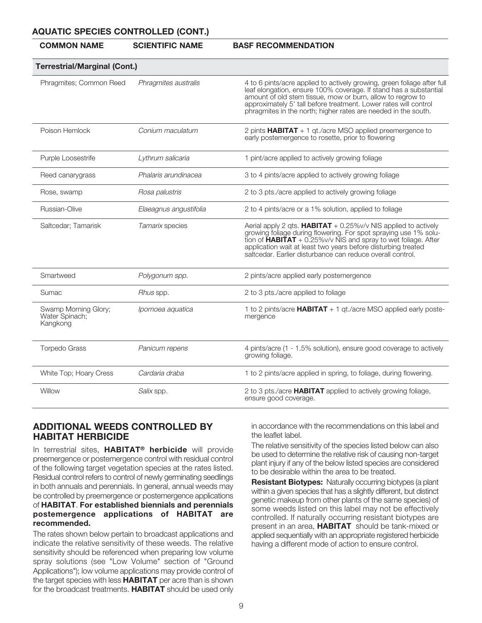#### **AQUATIC SPECIES CONTROLLED (CONT.)**

#### **COMMON NAME SCIENTIFIC NAME BASF RECOMMENDATION**

| <b>Terrestrial/Marginal (Cont.)</b>                |                        |                                                                                                                                                                                                                                                                                                                                                    |
|----------------------------------------------------|------------------------|----------------------------------------------------------------------------------------------------------------------------------------------------------------------------------------------------------------------------------------------------------------------------------------------------------------------------------------------------|
| Phragmites; Common Reed                            | Phragmites australis   | 4 to 6 pints/acre applied to actively growing, green foliage after full<br>leaf elongation, ensure 100% coverage. If stand has a substantial<br>amount of old stem tissue, mow or burn, allow to regrow to<br>approximately 5' tall before treatment. Lower rates will control<br>phragmites in the north; higher rates are needed in the south.   |
| Poison Hemlock                                     | Conium maculatum       | 2 pints $HABITAT + 1$ qt./acre MSO applied preemergence to<br>early postemergence to rosette, prior to flowering                                                                                                                                                                                                                                   |
| Purple Loosestrife                                 | Lythrum salicaria      | 1 pint/acre applied to actively growing foliage                                                                                                                                                                                                                                                                                                    |
| Reed canarygrass                                   | Phalaris arundinacea   | 3 to 4 pints/acre applied to actively growing foliage                                                                                                                                                                                                                                                                                              |
| Rose, swamp                                        | Rosa palustris         | 2 to 3 pts./acre applied to actively growing foliage                                                                                                                                                                                                                                                                                               |
| Russian-Olive                                      | Elaeagnus angustifolia | 2 to 4 pints/acre or a 1% solution, applied to foliage                                                                                                                                                                                                                                                                                             |
| Saltcedar; Tamarisk                                | Tamarix species        | Aerial apply 2 gts. <b>HABITAT</b> + $0.25\%$ v/v NIS applied to actively<br>growing foliage during flowering. For spot spraying use 1% solu-<br>tion of $HABITAT + 0.25\%$ v/v NIS and spray to wet foliage. After<br>application wait at least two years before disturbing treated<br>saltcedar. Earlier disturbance can reduce overall control. |
| Smartweed                                          | Polygonum spp.         | 2 pints/acre applied early postemergence                                                                                                                                                                                                                                                                                                           |
| Sumac                                              | Rhus spp.              | 2 to 3 pts./acre applied to foliage                                                                                                                                                                                                                                                                                                                |
| Swamp Morning Glory;<br>Water Spinach;<br>Kangkong | Ipomoea aquatica       | 1 to 2 pints/acre $HABITAT + 1$ gt./acre MSO applied early poste-<br>mergence                                                                                                                                                                                                                                                                      |
| <b>Torpedo Grass</b>                               | Panicum repens         | 4 pints/acre (1 - 1.5% solution), ensure good coverage to actively<br>growing foliage.                                                                                                                                                                                                                                                             |
| White Top; Hoary Cress                             | Cardaria draba         | 1 to 2 pints/acre applied in spring, to foliage, during flowering.                                                                                                                                                                                                                                                                                 |
| Willow                                             | Salix spp.             | 2 to 3 pts./acre <b>HABITAT</b> applied to actively growing foliage,<br>ensure good coverage.                                                                                                                                                                                                                                                      |

## **ADDITIONAL WEEDS CONTROLLED BY HABITAT HERBICIDE**

In terrestrial sites, **HABITAT® herbicide** will provide preemergence or postemergence control with residual control of the following target vegetation species at the rates listed. Residual control refers to control of newly germinating seedlings in both annuals and perennials. In general, annual weeds may be controlled by preemergence or postemergence applications of **HABITAT**. **For established biennials and perennials postemergence applications of HABITAT are recommended.**

The rates shown below pertain to broadcast applications and indicate the relative sensitivity of these weeds. The relative sensitivity should be referenced when preparing low volume spray solutions (see "Low Volume" section of "Ground Applications"); low volume applications may provide control of the target species with less **HABITAT** per acre than is shown for the broadcast treatments. **HABITAT** should be used only

in accordance with the recommendations on this label and the leaflet label.

The relative sensitivity of the species listed below can also be used to determine the relative risk of causing non-target plant injury if any of the below listed species are considered to be desirable within the area to be treated.

**Resistant Biotypes:** Naturally occurring biotypes (a plant within a given species that has a slightly different, but distinct genetic makeup from other plants of the same species) of some weeds listed on this label may not be effectively controlled. If naturally occurring resistant biotypes are present in an area, **HABITAT** should be tank-mixed or applied sequentially with an appropriate registered herbicide having a different mode of action to ensure control.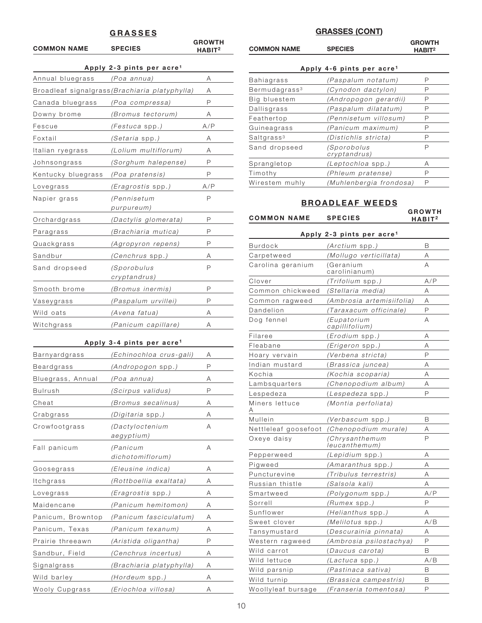#### **GRASSES**

| <b>COMMON NAME</b> | <b>SPECIES</b>                                        | <b>GROWTH</b><br>$H$ ABIT $^2$ |
|--------------------|-------------------------------------------------------|--------------------------------|
|                    | Apply 2-3 pints per acre <sup>1</sup>                 |                                |
| Annual bluegrass   | (Poa annua)                                           | Α                              |
|                    | Broadleaf signalgrass <i>(Brachiaria platyphylla)</i> | Α                              |
| Canada bluegrass   | (Poa compressa)                                       | P                              |
| Downy brome        | (Bromus tectorum)                                     | Α                              |
| Fescue             | (Festuca spp.)                                        | A/P                            |
| Foxtail            | <i>(Setaria</i> spp. <i>)</i>                         | Α                              |
| Italian ryegrass   | (Lolium multiflorum)                                  | Α                              |
| Johnsongrass       | (Sorghum halepense)                                   | P                              |
| Kentucky bluegrass | (Poa pratensis)                                       | P                              |
| Lovegrass          | <i>(Eragrostis</i> spp. <i>)</i>                      | A/P                            |
| Napier grass       | (Pennisetum                                           | P                              |
|                    | purpureum)                                            |                                |
| Orchardgrass       | (Dactylis glomerata)                                  | P                              |
| Paragrass          | (Brachiaria mutica)                                   | P                              |
| Quackgrass         | (Agropyron repens)                                    | P                              |
| Sandbur            | <i>(Cenchrus spp.)</i>                                | Α                              |
| Sand dropseed      | <i>(Sporobulus</i><br>cryptandrus)                    | P                              |
| Smooth brome       | (Bromus inermis)                                      | P                              |
| Vaseygrass         | (Paspalum urvillei)                                   | P                              |
| Wild oats          | (Avena fatua)                                         | Α                              |
| Witchgrass         | (Panicum capillare)                                   | Α                              |
|                    | Apply 3-4 pints per acre <sup>1</sup>                 |                                |
| Barnyardgrass      | (Echinochloa crus-gali)                               | Α                              |
| Beardgrass         | (Andropogon spp.)                                     | P                              |
| Bluegrass, Annual  | (Poa annua)                                           | Α                              |
| Bulrush            | (Scirpus validus)                                     | P                              |
| Cheat              | (Bromus secalinus)                                    | Α                              |
| Crabgrass          | <i>(Digitaria</i> spp. <i>)</i>                       | Α                              |
| Crowfootgrass      | (Dactyloctenium<br>aegyptium)                         | A                              |

Fall panicum (Panicum A

Goosegrass (Eleusine indica) A Itchgrass (Rottboellia exaltata) A Lovegrass (Eragrostis spp.) A Maidencane (Panicum hemitomon) A Panicum, Browntop (Panicum fasciculatum) A Panicum, Texas (Panicum texanum) A Prairie threeawn (Aristida oligantha) P Sandbur, Field (Cenchrus incertus) A Signalgrass (Brachiaria platyphylla) A Wild barley (Hordeum spp.) A Wooly Cupgrass (Eriochloa villosa) A

dichotomiflorum)

#### **GRASSES (CONT)**

|                    |                | <b>GROWTH</b>      |
|--------------------|----------------|--------------------|
| <b>COMMON NAME</b> | <b>SPECIES</b> | HABIT <sup>2</sup> |
|                    |                |                    |

#### Apply 4-6 pints per acre<sup>1</sup>

| Bahiagrass                | (Paspalum notatum)                 | Р |
|---------------------------|------------------------------------|---|
| Bermudagrass <sup>3</sup> | (Cynodon dactylon)                 | Р |
| Big bluestem              | (Andropogon gerardii)              | Р |
| Dallisgrass               | (Paspalum dilatatum)               | Ρ |
| Feathertop                | (Pennisetum villosum)              | Ρ |
| Guineagrass               | (Panicum maximum)                  | Р |
| Saltgrass <sup>3</sup>    | (Distichlis stricta)               | Р |
| Sand dropseed             | <i>(Sporobolus</i><br>cryptandrus) | Ρ |
| Sprangletop               | (Leptochloa spp.)                  | Α |
| Timothy                   | (Phleum pratense)                  | Р |
| Wirestem muhly            | (Muhlenbergia frondosa)            | Р |

## **BROADLEAF WEEDS**

**COMMON NAME SPECIES**

**GROWTH HABIT2**

|                      | Apply 2-3 pints per acre <sup>1</sup> |     |
|----------------------|---------------------------------------|-----|
| Burdock              | (Arctium spp.)                        | B   |
| Carpetweed           | (Mollugo verticillata)                | Α   |
| Carolina geranium    | (Geranium<br>carolinianum)            | А   |
| Clover               | <i>(Trifolium spp.)</i>               | A/P |
| Common chickweed     | (Stellaria media)                     | Α   |
| Common ragweed       | (Ambrosia artemisiifolia)             | Α   |
| Dandelion            | (Taraxacum officinale)                | P   |
| Dog fennel           | (Eupatorium<br>capillifolium)         | A   |
| Filaree              | (Erodium spp.)                        | Α   |
| Fleabane             | (Erigeron spp.)                       | A   |
| Hoary vervain        | (Verbena stricta)                     | P   |
| Indian mustard       | (Brassica juncea)                     | Α   |
| Kochia               | (Kochia scoparia)                     | Α   |
| Lambsquarters        | (Chenopodium album)                   | Α   |
| Lespedeza            | ( <i>Lespedeza</i> spp. <i>)</i>      | P   |
| Miners lettuce       | (Montia perfoliata)                   |     |
| Mullein              | <i>(Verbascum</i> spp. <i>)</i>       | B   |
| Nettleleaf goosefoot | (Chenopodium murale)                  | Α   |
| Oxeye daisy          | (Chrysanthemum<br>leucanthemum)       | P   |
| Pepperweed           | (Lepidium spp.)                       | Α   |
| Pigweed              | (Amaranthus spp.)                     | A   |
| Puncturevine         | (Tribulus terrestris)                 | A   |
| Russian thistle      | (Salsola kali)                        | А   |
| Smartweed            | (Polygonum spp.)                      | A/P |
| Sorrell              | <i>(Rumex</i> spp. <i>)</i>           | P   |
| Sunflower            | (Helianthus spp.)                     | Α   |
| Sweet clover         | (Melilotus spp.)                      | A/B |
| Tansymustard         | (Descurainia pinnata)                 | Α   |
| Western ragweed      | (Ambrosia psilostachya)               | P   |
| Wild carrot          | (Daucus carota)                       | B   |
| Wild lettuce         | (Lactuca spp.)                        | A/B |
| Wild parsnip         | (Pastinaca sativa)                    | B   |
| Wild turnip          | (Brassica campestris)                 | B   |
| Woollyleaf bursage   | (Franseria tomentosa)                 | P   |
|                      |                                       |     |

10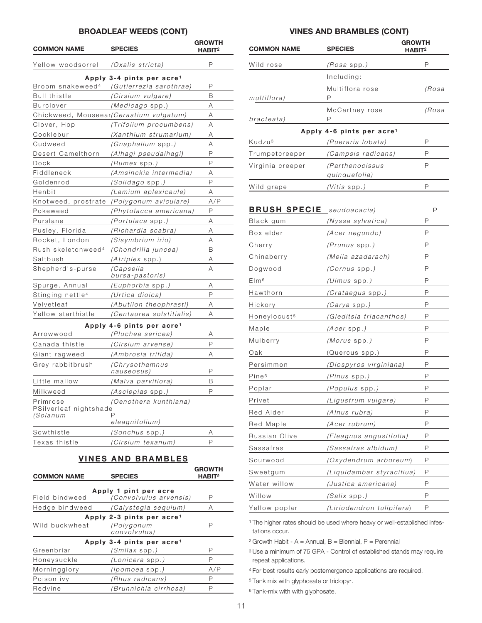#### **BROADLEAF WEEDS (CONT)**

| <b>COMMON NAME</b>                                    | <b>SPECIES</b>                               | <b>GROWTH</b><br>$H$ ABIT <sup>2</sup> |
|-------------------------------------------------------|----------------------------------------------|----------------------------------------|
| Yellow woodsorrel                                     | (Oxalis stricta)                             | Р                                      |
|                                                       | Apply 3-4 pints per acre <sup>1</sup>        |                                        |
| Broom snakeweed <sup>4</sup>                          | (Gutierrezia sarothrae)                      | P                                      |
| <b>Bull thistle</b>                                   | (Cirsium vulgare)                            | B                                      |
| <b>Burclover</b>                                      | (Medicago spp.)                              | Α                                      |
|                                                       | Chickweed, Mouseear(Cerastium vulgatum)      | Α                                      |
| Clover, Hop                                           | (Trifolium procumbens)                       | Α                                      |
| Cocklebur                                             | (Xanthium strumarium)                        | Α                                      |
| Cudweed                                               | (Gnaphalium spp.)                            | Α                                      |
| Desert Camelthorn                                     | (Alhagi pseudalhagi)                         | P                                      |
| Dock                                                  | <i>(Rumex</i> spp. <i>)</i>                  | P                                      |
| Fiddleneck                                            | (Amsinckia intermedia)                       | Α                                      |
| Goldenrod                                             | (Solidago spp.)                              | P                                      |
| Henbit                                                | (Lamium aplexicaule)                         | Α                                      |
| Knotweed, prostrate                                   | (Polygonum aviculare)                        | A/P                                    |
| Pokeweed                                              | (Phytolacca americana)                       | P                                      |
| Purslane                                              | <i>(Portulaca</i> spp. <i>)</i>              | Α                                      |
| Pusley, Florida                                       | (Richardia scabra)                           | Α                                      |
| Rocket, London                                        | (Sisymbrium irio)                            | Α                                      |
| Rush skeletonweed <sup>4</sup>                        | (Chondrilla juncea)                          | B                                      |
| Saltbush                                              | $(Atriplex$ spp.)                            | Α                                      |
| Shepherd's-purse                                      | (Capsella<br>bursa-pastoris)                 | A                                      |
| Spurge, Annual                                        | <i>(Euphorbia</i> spp.)                      | Α                                      |
| Stinging nettle <sup>4</sup>                          | (Urtica dioica)                              | P                                      |
| Velvetleaf                                            | (Abutilon theophrasti)                       | Α                                      |
| Yellow starthistle                                    | (Centaurea solstitialis)                     | Α                                      |
|                                                       | Apply 4-6 pints per acre <sup>1</sup>        |                                        |
| Arrowwood                                             | (Pluchea sericea)                            | Α                                      |
| Canada thistle                                        | (Cirsium arvense)                            | P                                      |
| Giant ragweed                                         | (Ambrosia trifida)                           | Α                                      |
| Grey rabbitbrush                                      | (Chrysothamnus<br>nauseosus)                 | P                                      |
| Little mallow                                         | (Malva parviflora)                           | B                                      |
| Milkweed                                              | (Asclepias spp.)                             | D                                      |
| Primrose<br>PSilverleaf nightshade<br><i>(Solanum</i> | (Oenothera kunthiana)<br>Ρ<br>eleagnifolium) |                                        |
| Sowthistle                                            | (Sonchus spp.)                               | Α                                      |
| Texas thistle                                         | (Cirsium texanum)                            | P                                      |
|                                                       |                                              |                                        |

## **VINES AND BRAMBLES**

| <b>COMMON NAME</b>                                                     | <b>SPECIES</b>                                                      | <b>GROWTH</b><br>HABIT <sup>2</sup> |  |  |
|------------------------------------------------------------------------|---------------------------------------------------------------------|-------------------------------------|--|--|
| Apply 1 pint per acre<br>(Convolvulus arvensis)<br>Field bindweed<br>Р |                                                                     |                                     |  |  |
| Hedge bindweed                                                         | (Calystegia sequium)                                                | A                                   |  |  |
| Wild buckwheat                                                         | Apply 2-3 pints per acre <sup>1</sup><br>(Polygonum<br>convolvulus) | Р                                   |  |  |
| Greenbriar                                                             | Apply 3-4 pints per acre <sup>1</sup><br>(Smilax spp.)              | Ρ                                   |  |  |
| Honeysuckle                                                            | (Lonicera spp.)                                                     | Ρ                                   |  |  |
| Morningglory                                                           | <i>(Ipomoea spp.)</i>                                               | A/P                                 |  |  |
| Poison ivy                                                             | (Rhus radicans)                                                     | Ρ                                   |  |  |
| Redvine                                                                | (Brunnichia cirrhosa)                                               | Р                                   |  |  |

#### **VINES AND BRAMBLES (CONT)**

| <b>COMMON NAME</b> | <b>SPECIES</b>                        | <b>GROWTH</b><br>$H$ ABIT <sup>2</sup> |  |
|--------------------|---------------------------------------|----------------------------------------|--|
| Wild rose          | (Rosa spp.)                           | Р                                      |  |
|                    | Including:                            |                                        |  |
| multiflora)        | Multiflora rose<br>Ρ                  | (Rosa                                  |  |
| bracteata)         | McCartney rose<br>Р                   | (Rosa                                  |  |
|                    | Apply 4-6 pints per acre <sup>1</sup> |                                        |  |
| Kudzu <sup>3</sup> | (Pueraria lobata)                     | Ρ                                      |  |
| Trumpetcreeper     | (Campsis radicans)                    | Р                                      |  |
| Virginia creeper   | (Parthenocissus<br>quinquefolia)      | Ρ                                      |  |
| Wild grape         | <i>(Vitis</i> spp. <i>)</i>           | Р                                      |  |

| <b>BRUSH SPECIE</b> seudoacacia) |                             |              |
|----------------------------------|-----------------------------|--------------|
| Black gum                        | (Nyssa sylvatica)           | P            |
| Box elder                        | (Acer negundo)              | P            |
| Cherry                           | (Prunus spp.)               | P            |
| Chinaberry                       | (Melia azadarach)           | P            |
| Dogwood                          | (Cornus spp.)               | P            |
| E/m <sup>6</sup>                 | (Ulmus spp.)                | P            |
| Hawthorn                         | <i>(Crataegus spp.)</i>     | P            |
| Hickory                          | (Carya spp.)                | P            |
| Honeylocust <sup>5</sup>         | (Gleditsia triacanthos)     | P            |
| Maple                            | $(Acer$ spp.)               | P            |
| Mulberry                         | <i>(Morus</i> spp. <i>)</i> | P            |
| Oak                              | (Quercus spp.)              | P            |
| Persimmon                        | (Diospyros virginiana)      | P            |
| Pine <sup>5</sup>                | (Pinus spp.)                | $\mathsf{P}$ |
| Poplar                           | (Populus spp.)              | P            |
| Privet                           | (Ligustrum vulgare)         | $\mathsf{P}$ |
| Red Alder                        | (Alnus rubra)               | P            |
| Red Maple                        | (Acer rubrum)               | P            |
| Russian Olive                    | (Eleagnus angustifolia)     | P            |
| Sassafras                        | (Sassafras albidum)         | P            |
| Sourwood                         | (Oxydendrum arboreum)       | P            |
| Sweetgum                         | (Liquidambar styraciflua)   | P            |
| Water willow                     | (Justica americana)         | P            |
| Willow                           | <i>(Salix</i> spp. <i>)</i> | P            |
| Yellow poplar                    | (Liriodendron tulipifera)   | P            |

<sup>1</sup> The higher rates should be used where heavy or well-established infestations occur.

 $2$  Growth Habit - A = Annual, B = Biennial, P = Perennial

<sup>3</sup> Use a minimum of 75 GPA - Control of established stands may require repeat applications.

<sup>4</sup> For best results early postemergence applications are required.

<sup>5</sup> Tank mix with glyphosate or triclopyr.

<sup>6</sup> Tank-mix with with glyphosate.